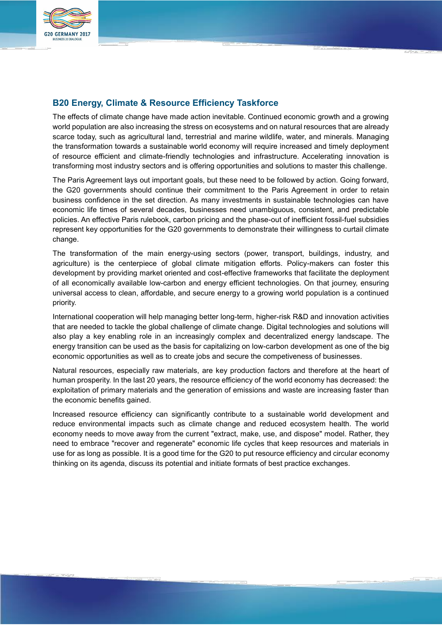

# **B20 Energy, Climate & Resource Efficiency Taskforce**

The effects of climate change have made action inevitable. Continued economic growth and a growing world population are also increasing the stress on ecosystems and on natural resources that are already scarce today, such as agricultural land, terrestrial and marine wildlife, water, and minerals. Managing the transformation towards a sustainable world economy will require increased and timely deployment of resource efficient and climate-friendly technologies and infrastructure. Accelerating innovation is transforming most industry sectors and is offering opportunities and solutions to master this challenge.

The Paris Agreement lays out important goals, but these need to be followed by action. Going forward, the G20 governments should continue their commitment to the Paris Agreement in order to retain business confidence in the set direction. As many investments in sustainable technologies can have economic life times of several decades, businesses need unambiguous, consistent, and predictable policies. An effective Paris rulebook, carbon pricing and the phase-out of inefficient fossil-fuel subsidies represent key opportunities for the G20 governments to demonstrate their willingness to curtail climate change.

The transformation of the main energy-using sectors (power, transport, buildings, industry, and agriculture) is the centerpiece of global climate mitigation efforts. Policy-makers can foster this development by providing market oriented and cost-effective frameworks that facilitate the deployment of all economically available low-carbon and energy efficient technologies. On that journey, ensuring universal access to clean, affordable, and secure energy to a growing world population is a continued priority.

International cooperation will help managing better long-term, higher-risk R&D and innovation activities that are needed to tackle the global challenge of climate change. Digital technologies and solutions will also play a key enabling role in an increasingly complex and decentralized energy landscape. The energy transition can be used as the basis for capitalizing on low-carbon development as one of the big economic opportunities as well as to create jobs and secure the competiveness of businesses.

Natural resources, especially raw materials, are key production factors and therefore at the heart of human prosperity. In the last 20 years, the resource efficiency of the world economy has decreased: the exploitation of primary materials and the generation of emissions and waste are increasing faster than the economic benefits gained.

Increased resource efficiency can significantly contribute to a sustainable world development and reduce environmental impacts such as climate change and reduced ecosystem health. The world economy needs to move away from the current "extract, make, use, and dispose" model. Rather, they need to embrace "recover and regenerate" economic life cycles that keep resources and materials in use for as long as possible. It is a good time for the G20 to put resource efficiency and circular economy thinking on its agenda, discuss its potential and initiate formats of best practice exchanges.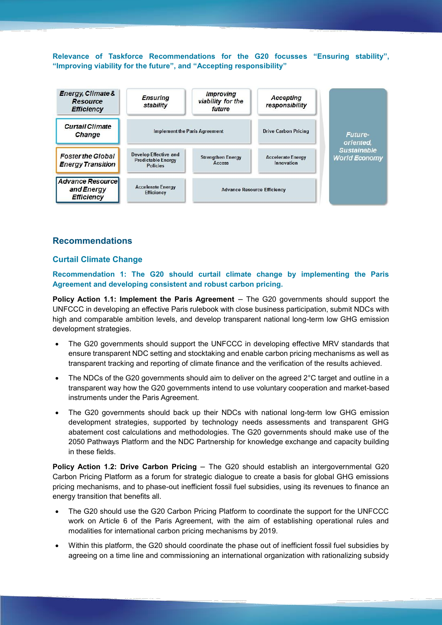**Relevance of Taskforce Recommendations for the G20 focusses "Ensuring stability", "Improving viability for the future", and "Accepting responsibility"**



# **Recommendations**

# **Curtail Climate Change**

**Recommendation 1: The G20 should curtail climate change by implementing the Paris Agreement and developing consistent and robust carbon pricing.** 

**Policy Action 1.1: Implement the Paris Agreement** – The G20 governments should support the UNFCCC in developing an effective Paris rulebook with close business participation, submit NDCs with high and comparable ambition levels, and develop transparent national long-term low GHG emission development strategies.

- The G20 governments should support the UNFCCC in developing effective MRV standards that ensure transparent NDC setting and stocktaking and enable carbon pricing mechanisms as well as transparent tracking and reporting of climate finance and the verification of the results achieved.
- The NDCs of the G20 governments should aim to deliver on the agreed 2°C target and outline in a transparent way how the G20 governments intend to use voluntary cooperation and market-based instruments under the Paris Agreement.
- The G20 governments should back up their NDCs with national long-term low GHG emission development strategies, supported by technology needs assessments and transparent GHG abatement cost calculations and methodologies. The G20 governments should make use of the 2050 Pathways Platform and the NDC Partnership for knowledge exchange and capacity building in these fields.

**Policy Action 1.2: Drive Carbon Pricing** – The G20 should establish an intergovernmental G20 Carbon Pricing Platform as a forum for strategic dialogue to create a basis for global GHG emissions pricing mechanisms, and to phase-out inefficient fossil fuel subsidies, using its revenues to finance an energy transition that benefits all.

- The G20 should use the G20 Carbon Pricing Platform to coordinate the support for the UNFCCC work on Article 6 of the Paris Agreement, with the aim of establishing operational rules and modalities for international carbon pricing mechanisms by 2019.
- Within this platform, the G20 should coordinate the phase out of inefficient fossil fuel subsidies by agreeing on a time line and commissioning an international organization with rationalizing subsidy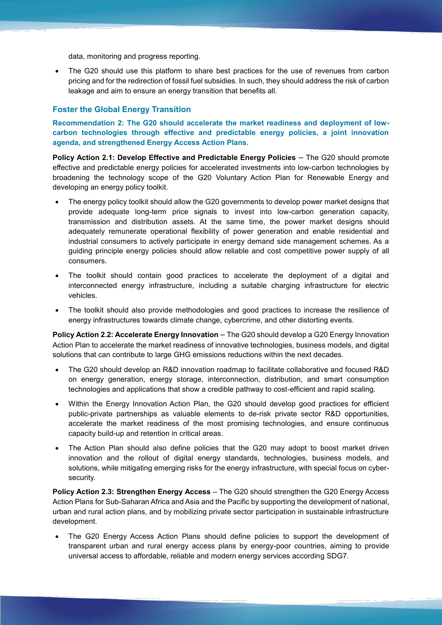data, monitoring and progress reporting.

 The G20 should use this platform to share best practices for the use of revenues from carbon pricing and for the redirection of fossil fuel subsidies. In such, they should address the risk of carbon leakage and aim to ensure an energy transition that benefits all.

#### **Foster the Global Energy Transition**

**Recommendation 2: The G20 should accelerate the market readiness and deployment of lowcarbon technologies through effective and predictable energy policies, a joint innovation agenda, and strengthened Energy Access Action Plans.** 

**Policy Action 2.1: Develop Effective and Predictable Energy Policies** – The G20 should promote effective and predictable energy policies for accelerated investments into low-carbon technologies by broadening the technology scope of the G20 Voluntary Action Plan for Renewable Energy and developing an energy policy toolkit.

- The energy policy toolkit should allow the G20 governments to develop power market designs that provide adequate long-term price signals to invest into low-carbon generation capacity, transmission and distribution assets. At the same time, the power market designs should adequately remunerate operational flexibility of power generation and enable residential and industrial consumers to actively participate in energy demand side management schemes. As a guiding principle energy policies should allow reliable and cost competitive power supply of all consumers.
- The toolkit should contain good practices to accelerate the deployment of a digital and interconnected energy infrastructure, including a suitable charging infrastructure for electric vehicles.
- The toolkit should also provide methodologies and good practices to increase the resilience of energy infrastructures towards climate change, cybercrime, and other distorting events.

**Policy Action 2.2: Accelerate Energy Innovation** – The G20 should develop a G20 Energy Innovation Action Plan to accelerate the market readiness of innovative technologies, business models, and digital solutions that can contribute to large GHG emissions reductions within the next decades.

- The G20 should develop an R&D innovation roadmap to facilitate collaborative and focused R&D on energy generation, energy storage, interconnection, distribution, and smart consumption technologies and applications that show a credible pathway to cost-efficient and rapid scaling.
- Within the Energy Innovation Action Plan, the G20 should develop good practices for efficient public-private partnerships as valuable elements to de-risk private sector R&D opportunities, accelerate the market readiness of the most promising technologies, and ensure continuous capacity build-up and retention in critical areas.
- The Action Plan should also define policies that the G20 may adopt to boost market driven innovation and the rollout of digital energy standards, technologies, business models, and solutions, while mitigating emerging risks for the energy infrastructure, with special focus on cybersecurity.

**Policy Action 2.3: Strengthen Energy Access** – The G20 should strengthen the G20 Energy Access Action Plans for Sub-Saharan Africa and Asia and the Pacific by supporting the development of national, urban and rural action plans, and by mobilizing private sector participation in sustainable infrastructure development.

 The G20 Energy Access Action Plans should define policies to support the development of transparent urban and rural energy access plans by energy-poor countries, aiming to provide universal access to affordable, reliable and modern energy services according SDG7.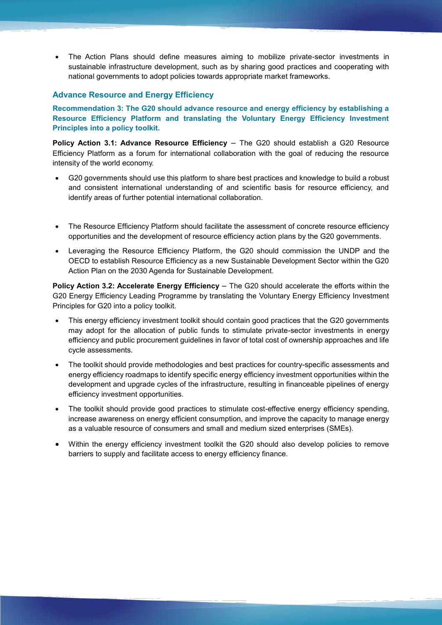The Action Plans should define measures aiming to mobilize private-sector investments in sustainable infrastructure development, such as by sharing good practices and cooperating with national governments to adopt policies towards appropriate market frameworks.

### **Advance Resource and Energy Efficiency**

**Recommendation 3: The G20 should advance resource and energy efficiency by establishing a Resource Efficiency Platform and translating the Voluntary Energy Efficiency Investment Principles into a policy toolkit.** 

**Policy Action 3.1: Advance Resource Efficiency** – The G20 should establish a G20 Resource Efficiency Platform as a forum for international collaboration with the goal of reducing the resource intensity of the world economy.

- G20 governments should use this platform to share best practices and knowledge to build a robust and consistent international understanding of and scientific basis for resource efficiency, and identify areas of further potential international collaboration.
- The Resource Efficiency Platform should facilitate the assessment of concrete resource efficiency opportunities and the development of resource efficiency action plans by the G20 governments.
- Leveraging the Resource Efficiency Platform, the G20 should commission the UNDP and the OECD to establish Resource Efficiency as a new Sustainable Development Sector within the G20 Action Plan on the 2030 Agenda for Sustainable Development.

**Policy Action 3.2: Accelerate Energy Efficiency** – The G20 should accelerate the efforts within the G20 Energy Efficiency Leading Programme by translating the Voluntary Energy Efficiency Investment Principles for G20 into a policy toolkit.

- This energy efficiency investment toolkit should contain good practices that the G20 governments may adopt for the allocation of public funds to stimulate private-sector investments in energy efficiency and public procurement guidelines in favor of total cost of ownership approaches and life cycle assessments.
- The toolkit should provide methodologies and best practices for country-specific assessments and energy efficiency roadmaps to identify specific energy efficiency investment opportunities within the development and upgrade cycles of the infrastructure, resulting in financeable pipelines of energy efficiency investment opportunities.
- The toolkit should provide good practices to stimulate cost-effective energy efficiency spending, increase awareness on energy efficient consumption, and improve the capacity to manage energy as a valuable resource of consumers and small and medium sized enterprises (SMEs).
- Within the energy efficiency investment toolkit the G20 should also develop policies to remove barriers to supply and facilitate access to energy efficiency finance.